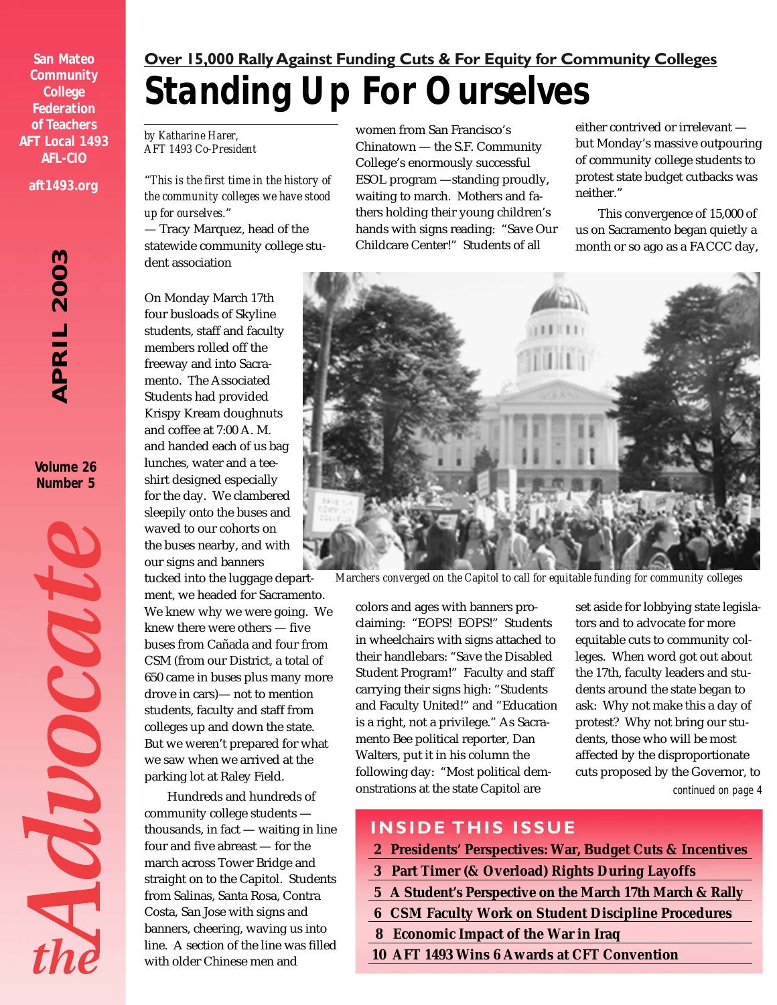**San Mateo Community College Federation of Teachers AFT Local 1493 AFL-CIO aft1493.org**

> *APRIL 2003* APRIL 200

**Volume 26 Number 5**

MOOCOUR

### *Standing Up For Ourselves* **Over 15,000 Rally Against Funding Cuts & For Equity for Community Colleges**

*by Katharine Harer, AFT 1493 Co-President*

"*This is the first time in the history of the community colleges we have stood up for ourselves.*"

— Tracy Marquez, head of the statewide community college student association

On Monday March 17th four busloads of Skyline students, staff and faculty members rolled off the freeway and into Sacramento. The Associated Students had provided Krispy Kream doughnuts and coffee at 7:00 A. M. and handed each of us bag lunches, water and a teeshirt designed especially for the day. We clambered sleepily onto the buses and waved to our cohorts on the buses nearby, and with our signs and banners

tucked into the luggage department, we headed for Sacramento. We knew why we were going. We knew there were others — five buses from Cañada and four from CSM (from our District, a total of 650 came in buses plus many more drove in cars)— not to mention students, faculty and staff from colleges up and down the state. But we weren't prepared for what we saw when we arrived at the parking lot at Raley Field.

Hundreds and hundreds of community college students thousands, in fact — waiting in line four and five abreast — for the march across Tower Bridge and straight on to the Capitol. Students from Salinas, Santa Rosa, Contra Costa, San Jose with signs and banners, cheering, waving us into line. A section of the line was filled with older Chinese men and

women from San Francisco's Chinatown — the S.F. Community College's enormously successful ESOL program —standing proudly, waiting to march. Mothers and fathers holding their young children's hands with signs reading: "Save Our Childcare Center!" Students of all

either contrived or irrelevant but Monday's massive outpouring of community college students to protest state budget cutbacks was neither."

This convergence of 15,000 of us on Sacramento began quietly a month or so ago as a FACCC day,



*Marchers converged on the Capitol to call for equitable funding for community colleges*

colors and ages with banners proclaiming: "EOPS! EOPS!" Students in wheelchairs with signs attached to their handlebars: "Save the Disabled Student Program!" Faculty and staff carrying their signs high: "Students and Faculty United!" and "Education is a right, not a privilege." As Sacramento Bee political reporter, Dan Walters, put it in his column the following day: "Most political demonstrations at the state Capitol are

*continued on page 4* set aside for lobbying state legislators and to advocate for more equitable cuts to community colleges. When word got out about the 17th, faculty leaders and students around the state began to ask: Why not make this a day of protest? Why not bring our students, those who will be most affected by the disproportionate cuts proposed by the Governor, to

### **INSIDE THIS ISSUE**

- **2 Presidents' Perspectives: War, Budget Cuts & Incentives**
- **3 Part Timer (& Overload) Rights During Layoffs**
- **5 A Student's Perspective on the March 17th March & Rally**
- **6 CSM Faculty Work on Student Discipline Procedures**
- **8 Economic Impact of the War in Iraq**
- **10 AFT 1493 Wins 6 Awards at CFT Convention**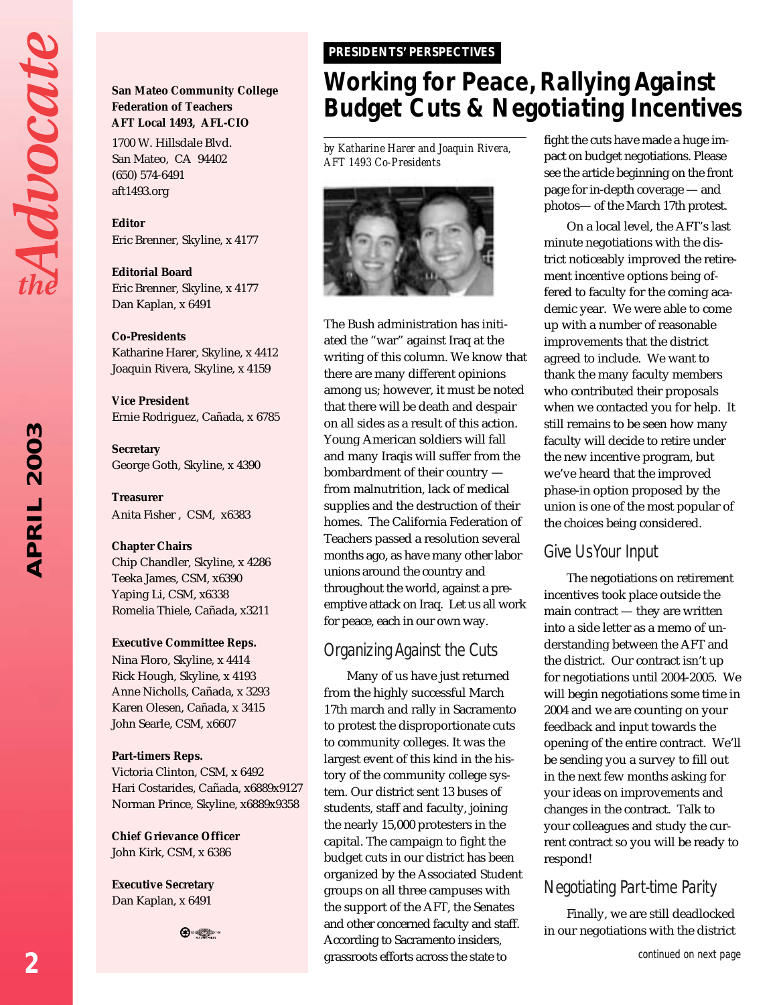Advocat

## 2003 *APRIL 2003* APRIL

### **San Mateo Community College Federation of Teachers AFT Local 1493, AFL-CIO**

1700 W. Hillsdale Blvd. San Mateo, CA 94402 (650) 574-6491 aft1493.org

**Editor** Eric Brenner, Skyline, x 4177

**Editorial Board** Eric Brenner, Skyline, x 4177 Dan Kaplan, x 6491

### **Co-Presidents**

Katharine Harer, Skyline, x 4412 Joaquin Rivera, Skyline, x 4159

**Vice President** Ernie Rodriguez, Cañada, x 6785

**Secretary** George Goth, Skyline, x 4390

**Treasurer** Anita Fisher , CSM, x6383

#### **Chapter Chairs**

Chip Chandler, Skyline, x 4286 Teeka James, CSM, x6390 Yaping Li, CSM, x6338 Romelia Thiele, Cañada, x3211

### **Executive Committee Reps.**

Nina Floro, Skyline, x 4414 Rick Hough, Skyline, x 4193 Anne Nicholls, Cañada, x 3293 Karen Olesen, Cañada, x 3415 John Searle, CSM, x6607

#### **Part-timers Reps.**

Victoria Clinton, CSM, x 6492 Hari Costarides, Cañada, x6889x9127 Norman Prince, Skyline, x6889x9358

**Chief Grievance Officer** John Kirk, CSM, x 6386

**Executive Secretary** Dan Kaplan, x 6491



### *PRESIDENTS' PERSPECTIVES PRESIDENTS' PERSPECTIVES*

### *Working for Peace, Rallying Against Budget Cuts & Negotiating Incentives*

*by Katharine Harer and Joaquin Rivera, AFT 1493 Co-Presidents*



The Bush administration has initiated the "war" against Iraq at the writing of this column. We know that there are many different opinions among us; however, it must be noted that there will be death and despair on all sides as a result of this action. Young American soldiers will fall and many Iraqis will suffer from the bombardment of their country from malnutrition, lack of medical supplies and the destruction of their homes. The California Federation of Teachers passed a resolution several months ago, as have many other labor unions around the country and throughout the world, against a preemptive attack on Iraq. Let us all work for peace, each in our own way.

### *Organizing Against the Cuts*

Many of us have just returned from the highly successful March 17th march and rally in Sacramento to protest the disproportionate cuts to community colleges. It was the largest event of this kind in the history of the community college system. Our district sent 13 buses of students, staff and faculty, joining the nearly 15,000 protesters in the capital. The campaign to fight the budget cuts in our district has been organized by the Associated Student groups on all three campuses with the support of the AFT, the Senates and other concerned faculty and staff. According to Sacramento insiders, grassroots efforts across the state to

fight the cuts have made a huge impact on budget negotiations. Please see the article beginning on the front page for in-depth coverage — and photos— of the March 17th protest.

On a local level, the AFT's last minute negotiations with the district noticeably improved the retirement incentive options being offered to faculty for the coming academic year. We were able to come up with a number of reasonable improvements that the district agreed to include. We want to thank the many faculty members who contributed their proposals when we contacted you for help. It still remains to be seen how many faculty will decide to retire under the new incentive program, but we've heard that the improved phase-in option proposed by the union is one of the most popular of the choices being considered.

### *Give Us Your Input*

The negotiations on retirement incentives took place outside the main contract — they are written into a side letter as a memo of understanding between the AFT and the district. Our contract isn't up for negotiations until 2004-2005. We will begin negotiations some time in 2004 and we are counting on your feedback and input towards the opening of the entire contract. We'll be sending you a survey to fill out in the next few months asking for your ideas on improvements and changes in the contract. Talk to your colleagues and study the current contract so you will be ready to respond!

### *Negotiating Part-time Parity*

Finally, we are still deadlocked in our negotiations with the district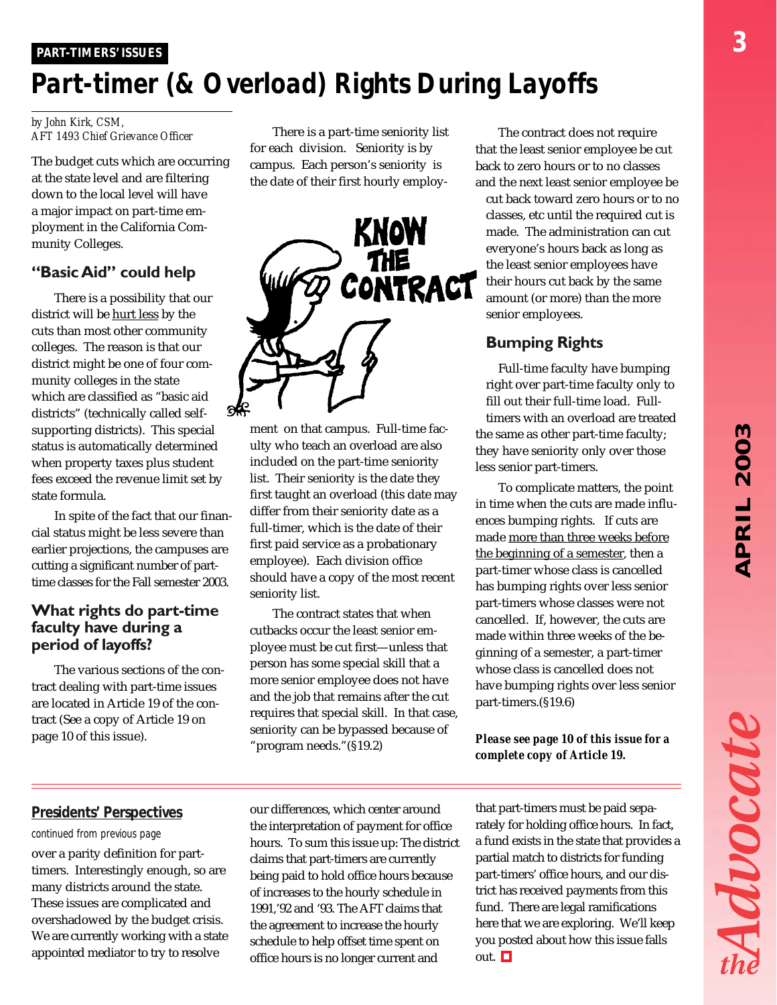# *APRIL 2003* **APRIL 2003**

Advocat

### *PART-TIMERS' ISSUES PART-TIMERS' ISSUES*

### *Part-timer (& Overload) Rights During Layoffs*

#### *by John Kirk, CSM, AFT 1493 Chief Grievance Officer*

The budget cuts which are occurring at the state level and are filtering down to the local level will have a major impact on part-time employment in the California Community Colleges.

### **"Basic Aid" could help**

There is a possibility that our district will be hurt less by the cuts than most other community colleges. The reason is that our district might be one of four community colleges in the state which are classified as "basic aid districts" (technically called selfsupporting districts). This special status is automatically determined when property taxes plus student fees exceed the revenue limit set by state formula.

In spite of the fact that our financial status might be less severe than earlier projections, the campuses are cutting a significant number of parttime classes for the Fall semester 2003.

### **What rights do part-time faculty have during a period of layoffs?**

The various sections of the contract dealing with part-time issues are located in Article 19 of the contract (See a copy of Article 19 on page 10 of this issue).

There is a part-time seniority list for each division. Seniority is by campus. Each person's seniority is the date of their first hourly employ-



ment on that campus. Full-time faculty who teach an overload are also included on the part-time seniority list. Their seniority is the date they first taught an overload (this date may differ from their seniority date as a full-timer, which is the date of their first paid service as a probationary employee). Each division office should have a copy of the most recent seniority list.

The contract states that when cutbacks occur the least senior employee must be cut first—unless that person has some special skill that a more senior employee does not have and the job that remains after the cut requires that special skill. In that case, seniority can be bypassed because of "program needs."(§19.2)

The contract does not require that the least senior employee be cut back to zero hours or to no classes and the next least senior employee be cut back toward zero hours or to no classes, etc until the required cut is made. The administration can cut everyone's hours back as long as the least senior employees have their hours cut back by the same amount (or more) than the more senior employees.

### **Bumping Rights**

Full-time faculty have bumping right over part-time faculty only to fill out their full-time load. Fulltimers with an overload are treated the same as other part-time faculty; they have seniority only over those less senior part-timers.

To complicate matters, the point in time when the cuts are made influences bumping rights. If cuts are made more than three weeks before the beginning of a semester, then a part-timer whose class is cancelled has bumping rights over less senior part-timers whose classes were not cancelled. If, however, the cuts are made within three weeks of the beginning of a semester, a part-timer whose class is cancelled does not have bumping rights over less senior part-timers.(§19.6)

### *Please see page 10 of this issue for a complete copy of Article 19.*

### *Presidents' Perspectives*

#### *continued from previous page*

over a parity definition for parttimers. Interestingly enough, so are many districts around the state. These issues are complicated and overshadowed by the budget crisis. We are currently working with a state appointed mediator to try to resolve

our differences, which center around the interpretation of payment for office hours. To sum this issue up: The district claims that part-timers are currently being paid to hold office hours because of increases to the hourly schedule in 1991,'92 and '93. The AFT claims that the agreement to increase the hourly schedule to help offset time spent on office hours is no longer current and

that part-timers must be paid separately for holding office hours. In fact, a fund exists in the state that provides a partial match to districts for funding part-timers' office hours, and our district has received payments from this fund. There are legal ramifications here that we are exploring. We'll keep you posted about how this issue falls out.  $\Box$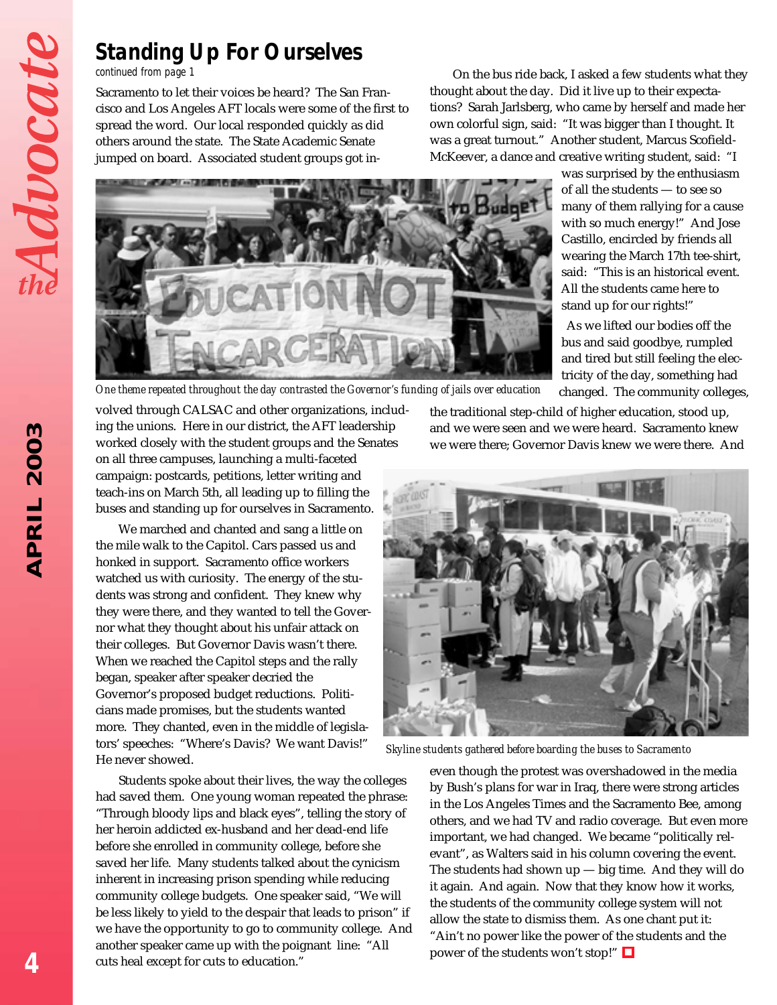### *Standing Up For Ourselves*

#### *continued from page 1*

Sacramento to let their voices be heard? The San Francisco and Los Angeles AFT locals were some of the first to spread the word. Our local responded quickly as did others around the state. The State Academic Senate jumped on board. Associated student groups got in-

On the bus ride back, I asked a few students what they thought about the day. Did it live up to their expectations? Sarah Jarlsberg, who came by herself and made her own colorful sign, said: "It was bigger than I thought. It was a great turnout." Another student, Marcus Scofield-McKeever, a dance and creative writing student, said: "I



was surprised by the enthusiasm of all the students — to see so many of them rallying for a cause with so much energy!" And Jose Castillo, encircled by friends all wearing the March 17th tee-shirt, said: "This is an historical event. All the students came here to stand up for our rights!"

As we lifted our bodies off the bus and said goodbye, rumpled and tired but still feeling the electricity of the day, something had changed. The community colleges,

*One theme repeated throughout the day contrasted the Governor's funding of jails over education*

volved through CALSAC and other organizations, including the unions. Here in our district, the AFT leadership worked closely with the student groups and the Senates on all three campuses, launching a multi-faceted campaign: postcards, petitions, letter writing and teach-ins on March 5th, all leading up to filling the buses and standing up for ourselves in Sacramento.

We marched and chanted and sang a little on the mile walk to the Capitol. Cars passed us and honked in support. Sacramento office workers watched us with curiosity. The energy of the students was strong and confident. They knew why they were there, and they wanted to tell the Governor what they thought about his unfair attack on their colleges. But Governor Davis wasn't there. When we reached the Capitol steps and the rally began, speaker after speaker decried the Governor's proposed budget reductions. Politicians made promises, but the students wanted more. They chanted, even in the middle of legislators' speeches: "Where's Davis? We want Davis!" He never showed.

Students spoke about their lives, the way the colleges had saved them. One young woman repeated the phrase: "Through bloody lips and black eyes", telling the story of her heroin addicted ex-husband and her dead-end life before she enrolled in community college, before she saved her life. Many students talked about the cynicism inherent in increasing prison spending while reducing community college budgets. One speaker said, "We will be less likely to yield to the despair that leads to prison" if we have the opportunity to go to community college. And another speaker came up with the poignant line: "All cuts heal except for cuts to education."

the traditional step-child of higher education, stood up, and we were seen and we were heard. Sacramento knew we were there; Governor Davis knew we were there. And



*Skyline students gathered before boarding the buses to Sacramento*

even though the protest was overshadowed in the media by Bush's plans for war in Iraq, there were strong articles in the Los Angeles Times and the Sacramento Bee, among others, and we had TV and radio coverage. But even more important, we had changed. We became "politically relevant", as Walters said in his column covering the event. The students had shown up — big time. And they will do it again. And again. Now that they know how it works, the students of the community college system will not allow the state to dismiss them. As one chant put it: "Ain't no power like the power of the students and the power of the students won't stop!"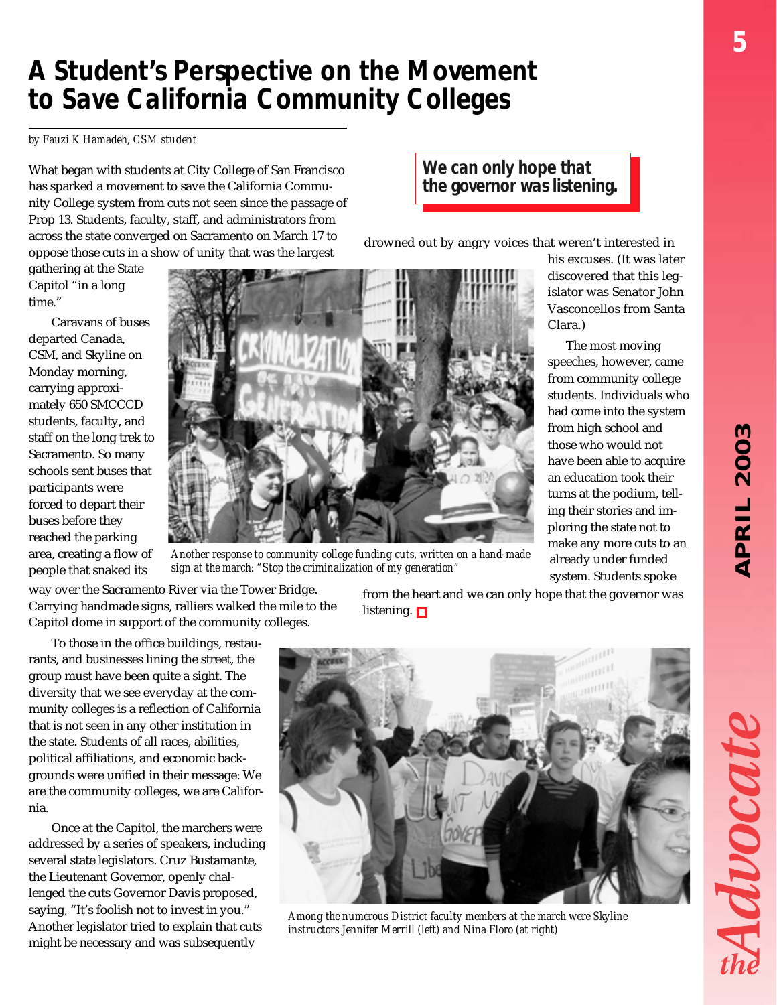### *A Student's Perspective on the Movement to Save California Community Colleges*

*by Fauzi K Hamadeh, CSM student*

What began with students at City College of San Francisco has sparked a movement to save the California Community College system from cuts not seen since the passage of Prop 13. Students, faculty, staff, and administrators from across the state converged on Sacramento on March 17 to oppose those cuts in a show of unity that was the largest

gathering at the State Capitol "in a long time."

Caravans of buses departed Canada, CSM, and Skyline on Monday morning, carrying approximately 650 SMCCCD students, faculty, and staff on the long trek to Sacramento. So many schools sent buses that participants were forced to depart their buses before they reached the parking area, creating a flow of people that snaked its



*Another response to community college funding cuts, written on a hand-made sign at the march: "Stop the criminalization of my generation"*

drowned out by angry voices that weren't interested in

*We can only hope that the governor was listening.*

> his excuses. (It was later discovered that this legislator was Senator John Vasconcellos from Santa Clara.)

 The most moving speeches, however, came from community college students. Individuals who had come into the system from high school and those who would not have been able to acquire an education took their turns at the podium, telling their stories and imploring the state not to make any more cuts to an already under funded system. Students spoke

way over the Sacramento River via the Tower Bridge. Carrying handmade signs, ralliers walked the mile to the Capitol dome in support of the community colleges.

To those in the office buildings, restaurants, and businesses lining the street, the group must have been quite a sight. The diversity that we see everyday at the community colleges is a reflection of California that is not seen in any other institution in the state. Students of all races, abilities, political affiliations, and economic backgrounds were unified in their message: We are the community colleges, we are California.

Once at the Capitol, the marchers were addressed by a series of speakers, including several state legislators. Cruz Bustamante, the Lieutenant Governor, openly challenged the cuts Governor Davis proposed, saying, "It's foolish not to invest in you." Another legislator tried to explain that cuts might be necessary and was subsequently

from the heart and we can only hope that the governor was listening.  $\Box$ 



*Among the numerous District faculty members at the march were Skyline instructors Jennifer Merrill (left) and Nina Floro (at right)*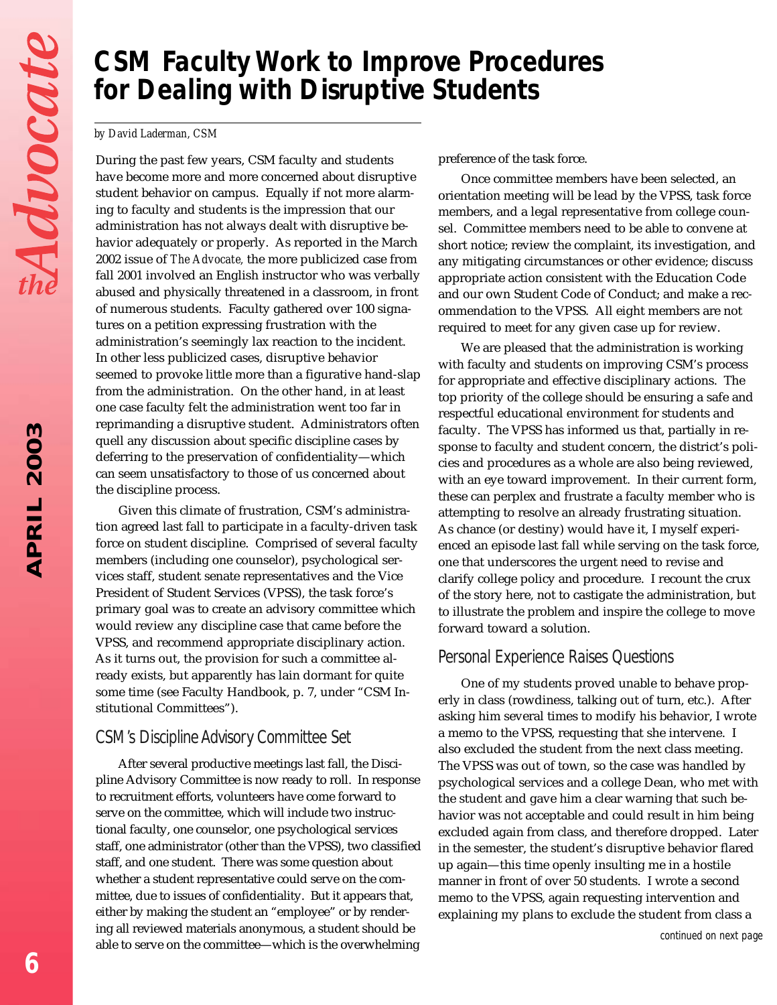### *CSM Faculty Work to Improve Procedures for Dealing with Disruptive Students*

#### *by David Laderman, CSM*

During the past few years, CSM faculty and students have become more and more concerned about disruptive student behavior on campus. Equally if not more alarming to faculty and students is the impression that our administration has not always dealt with disruptive behavior adequately or properly. As reported in the March 2002 issue of *The Advocate,* the more publicized case from fall 2001 involved an English instructor who was verbally abused and physically threatened in a classroom, in front of numerous students. Faculty gathered over 100 signatures on a petition expressing frustration with the administration's seemingly lax reaction to the incident. In other less publicized cases, disruptive behavior seemed to provoke little more than a figurative hand-slap from the administration. On the other hand, in at least one case faculty felt the administration went too far in reprimanding a disruptive student. Administrators often quell any discussion about specific discipline cases by deferring to the preservation of confidentiality—which can seem unsatisfactory to those of us concerned about the discipline process.

Given this climate of frustration, CSM's administration agreed last fall to participate in a faculty-driven task force on student discipline. Comprised of several faculty members (including one counselor), psychological services staff, student senate representatives and the Vice President of Student Services (VPSS), the task force's primary goal was to create an advisory committee which would review any discipline case that came before the VPSS, and recommend appropriate disciplinary action. As it turns out, the provision for such a committee already exists, but apparently has lain dormant for quite some time (see Faculty Handbook, p. 7, under "CSM Institutional Committees").

### *CSM's Discipline Advisory Committee Set*

After several productive meetings last fall, the Discipline Advisory Committee is now ready to roll. In response to recruitment efforts, volunteers have come forward to serve on the committee, which will include two instructional faculty, one counselor, one psychological services staff, one administrator (other than the VPSS), two classified staff, and one student. There was some question about whether a student representative could serve on the committee, due to issues of confidentiality. But it appears that, either by making the student an "employee" or by rendering all reviewed materials anonymous, a student should be able to serve on the committee—which is the overwhelming

preference of the task force.

Once committee members have been selected, an orientation meeting will be lead by the VPSS, task force members, and a legal representative from college counsel. Committee members need to be able to convene at short notice; review the complaint, its investigation, and any mitigating circumstances or other evidence; discuss appropriate action consistent with the Education Code and our own Student Code of Conduct; and make a recommendation to the VPSS. All eight members are not required to meet for any given case up for review.

We are pleased that the administration is working with faculty and students on improving CSM's process for appropriate and effective disciplinary actions. The top priority of the college should be ensuring a safe and respectful educational environment for students and faculty. The VPSS has informed us that, partially in response to faculty and student concern, the district's policies and procedures as a whole are also being reviewed, with an eye toward improvement. In their current form, these can perplex and frustrate a faculty member who is attempting to resolve an already frustrating situation. As chance (or destiny) would have it, I myself experienced an episode last fall while serving on the task force, one that underscores the urgent need to revise and clarify college policy and procedure. I recount the crux of the story here, not to castigate the administration, but to illustrate the problem and inspire the college to move forward toward a solution.

### *Personal Experience Raises Questions*

One of my students proved unable to behave properly in class (rowdiness, talking out of turn, etc.). After asking him several times to modify his behavior, I wrote a memo to the VPSS, requesting that she intervene. I also excluded the student from the next class meeting. The VPSS was out of town, so the case was handled by psychological services and a college Dean, who met with the student and gave him a clear warning that such behavior was not acceptable and could result in him being excluded again from class, and therefore dropped. Later in the semester, the student's disruptive behavior flared up again—this time openly insulting me in a hostile manner in front of over 50 students. I wrote a second memo to the VPSS, again requesting intervention and explaining my plans to exclude the student from class a

*continued on next page*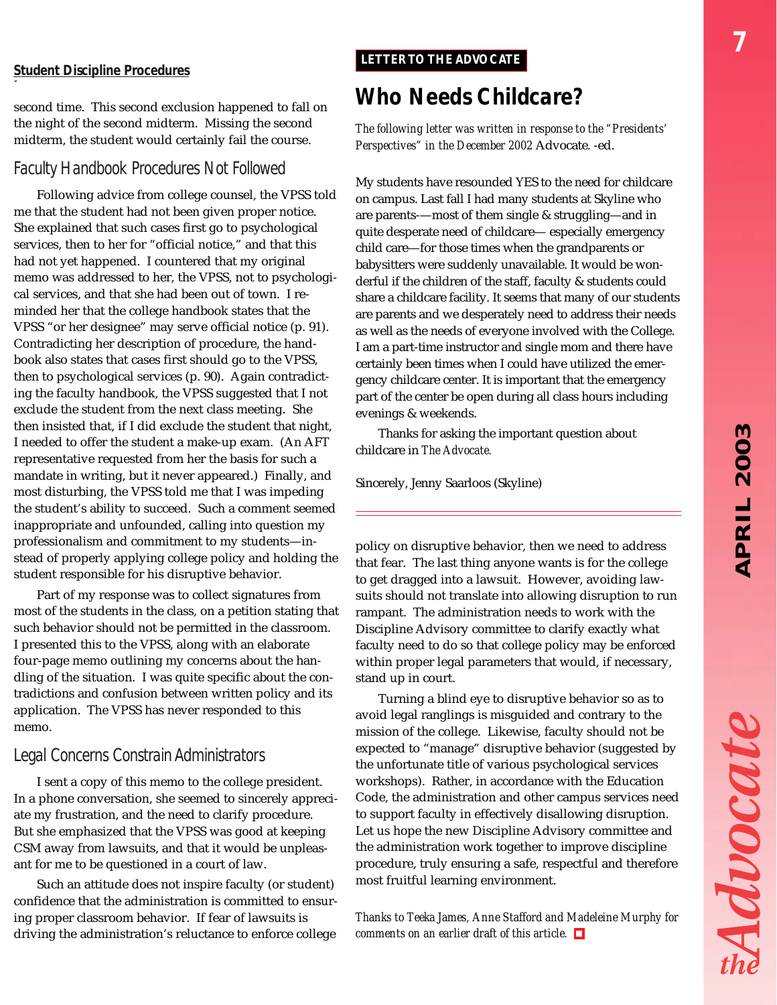# *APRIL 2003* **APRIL 2003**

Advocate

### *Student Discipline Procedures*

*ˇ*

second time. This second exclusion happened to fall on the night of the second midterm. Missing the second midterm, the student would certainly fail the course.

### *Faculty Handbook Procedures Not Followed*

Following advice from college counsel, the VPSS told me that the student had not been given proper notice. She explained that such cases first go to psychological services, then to her for "official notice," and that this had not yet happened. I countered that my original memo was addressed to her, the VPSS, not to psychological services, and that she had been out of town. I reminded her that the college handbook states that the VPSS "or her designee" may serve official notice (p. 91). Contradicting her description of procedure, the handbook also states that cases first should go to the VPSS, then to psychological services (p. 90). Again contradicting the faculty handbook, the VPSS suggested that I not exclude the student from the next class meeting. She then insisted that, if I did exclude the student that night, I needed to offer the student a make-up exam. (An AFT representative requested from her the basis for such a mandate in writing, but it never appeared.) Finally, and most disturbing, the VPSS told me that I was impeding the student's ability to succeed. Such a comment seemed inappropriate and unfounded, calling into question my professionalism and commitment to my students—instead of properly applying college policy and holding the student responsible for his disruptive behavior.

Part of my response was to collect signatures from most of the students in the class, on a petition stating that such behavior should not be permitted in the classroom. I presented this to the VPSS, along with an elaborate four-page memo outlining my concerns about the handling of the situation. I was quite specific about the contradictions and confusion between written policy and its application. The VPSS has never responded to this memo.

### *Legal Concerns Constrain Administrators*

I sent a copy of this memo to the college president. In a phone conversation, she seemed to sincerely appreciate my frustration, and the need to clarify procedure. But she emphasized that the VPSS was good at keeping CSM away from lawsuits, and that it would be unpleasant for me to be questioned in a court of law.

Such an attitude does not inspire faculty (or student) confidence that the administration is committed to ensuring proper classroom behavior. If fear of lawsuits is driving the administration's reluctance to enforce college

### *LETTER TO THE ADVOCATE*

### *Who Needs Childcare?*

*The following letter was written in response to the "Presidents' Perspectives" in the December 2002* Advocate*.* -ed.

My students have resounded YES to the need for childcare on campus. Last fall I had many students at Skyline who are parents-—most of them single & struggling—and in quite desperate need of childcare— especially emergency child care—for those times when the grandparents or babysitters were suddenly unavailable. It would be wonderful if the children of the staff, faculty & students could share a childcare facility. It seems that many of our students are parents and we desperately need to address their needs as well as the needs of everyone involved with the College. I am a part-time instructor and single mom and there have certainly been times when I could have utilized the emergency childcare center. It is important that the emergency part of the center be open during all class hours including evenings & weekends.

Thanks for asking the important question about childcare in *The Advocate.*

Sincerely, Jenny Saarloos (Skyline)

policy on disruptive behavior, then we need to address that fear. The last thing anyone wants is for the college to get dragged into a lawsuit. However, avoiding lawsuits should not translate into allowing disruption to run rampant. The administration needs to work with the Discipline Advisory committee to clarify exactly what faculty need to do so that college policy may be enforced within proper legal parameters that would, if necessary, stand up in court.

Turning a blind eye to disruptive behavior so as to avoid legal ranglings is misguided and contrary to the mission of the college. Likewise, faculty should not be expected to "manage" disruptive behavior (suggested by the unfortunate title of various psychological services workshops). Rather, in accordance with the Education Code, the administration and other campus services need to support faculty in effectively disallowing disruption. Let us hope the new Discipline Advisory committee and the administration work together to improve discipline procedure, truly ensuring a safe, respectful and therefore most fruitful learning environment.

*Thanks to Teeka James, Anne Stafford and Madeleine Murphy for comments on an earlier draft of this article.*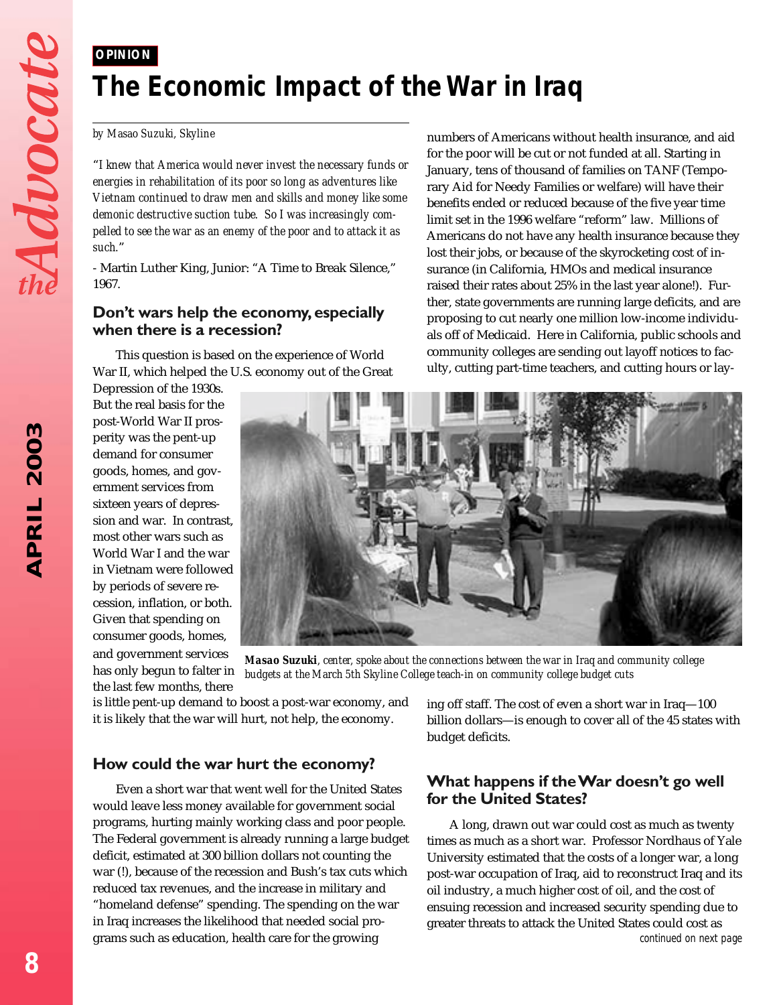### *OPINION*

### *The Economic Impact of the War in Iraq*

#### *by Masao Suzuki, Skyline*

"*I knew that America would never invest the necessary funds or energies in rehabilitation of its poor so long as adventures like Vietnam continued to draw men and skills and money like some demonic destructive suction tube. So I was increasingly compelled to see the war as an enemy of the poor and to attack it as such.*"

- Martin Luther King, Junior: "A Time to Break Silence," 1967.

### **Don't wars help the economy, especially when there is a recession?**

This question is based on the experience of World War II, which helped the U.S. economy out of the Great

Depression of the 1930s. But the real basis for the post-World War II prosperity was the pent-up demand for consumer goods, homes, and government services from sixteen years of depression and war. In contrast, most other wars such as World War I and the war in Vietnam were followed by periods of severe recession, inflation, or both. Given that spending on consumer goods, homes, and government services has only begun to falter in the last few months, there



*Masao Suzuki, center, spoke about the connections between the war in Iraq and community college budgets at the March 5th Skyline College teach-in on community college budget cuts*

is little pent-up demand to boost a post-war economy, and it is likely that the war will hurt, not help, the economy.

### **How could the war hurt the economy?**

Even a short war that went well for the United States would leave less money available for government social programs, hurting mainly working class and poor people. The Federal government is already running a large budget deficit, estimated at 300 billion dollars not counting the war (!), because of the recession and Bush's tax cuts which reduced tax revenues, and the increase in military and "homeland defense" spending. The spending on the war in Iraq increases the likelihood that needed social programs such as education, health care for the growing

ing off staff. The cost of even a short war in Iraq—100 billion dollars—is enough to cover all of the 45 states with budget deficits.

numbers of Americans without health insurance, and aid for the poor will be cut or not funded at all. Starting in January, tens of thousand of families on TANF (Temporary Aid for Needy Families or welfare) will have their benefits ended or reduced because of the five year time limit set in the 1996 welfare "reform" law. Millions of Americans do not have any health insurance because they lost their jobs, or because of the skyrocketing cost of insurance (in California, HMOs and medical insurance raised their rates about 25% in the last year alone!). Further, state governments are running large deficits, and are proposing to cut nearly one million low-income individuals off of Medicaid. Here in California, public schools and community colleges are sending out layoff notices to faculty, cutting part-time teachers, and cutting hours or lay-

### **What happens if the War doesn't go well for the United States?**

A long, drawn out war could cost as much as twenty times as much as a short war. Professor Nordhaus of Yale University estimated that the costs of a longer war, a long post-war occupation of Iraq, aid to reconstruct Iraq and its oil industry, a much higher cost of oil, and the cost of ensuing recession and increased security spending due to greater threats to attack the United States could cost as *continued on next page*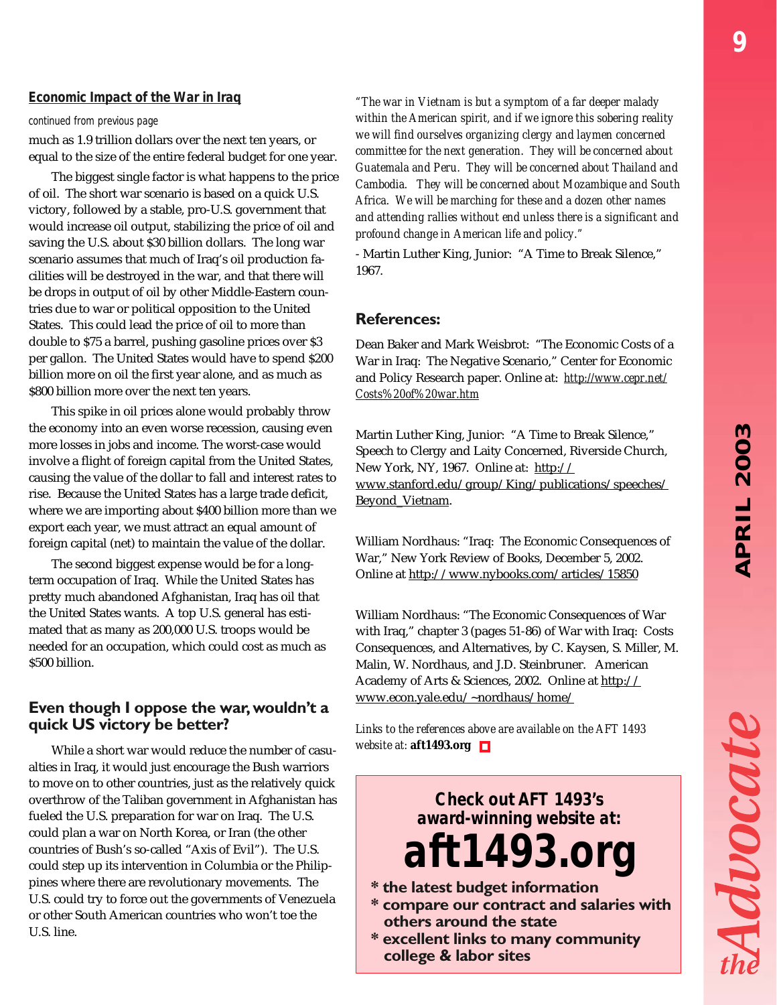Advocat

### *Economic Impact of the War in Iraq*

#### *continued from previous page*

much as 1.9 trillion dollars over the next ten years, or equal to the size of the entire federal budget for one year.

The biggest single factor is what happens to the price of oil. The short war scenario is based on a quick U.S. victory, followed by a stable, pro-U.S. government that would increase oil output, stabilizing the price of oil and saving the U.S. about \$30 billion dollars. The long war scenario assumes that much of Iraq's oil production facilities will be destroyed in the war, and that there will be drops in output of oil by other Middle-Eastern countries due to war or political opposition to the United States. This could lead the price of oil to more than double to \$75 a barrel, pushing gasoline prices over \$3 per gallon. The United States would have to spend \$200 billion more on oil the first year alone, and as much as \$800 billion more over the next ten years.

This spike in oil prices alone would probably throw the economy into an even worse recession, causing even more losses in jobs and income. The worst-case would involve a flight of foreign capital from the United States, causing the value of the dollar to fall and interest rates to rise. Because the United States has a large trade deficit, where we are importing about \$400 billion more than we export each year, we must attract an equal amount of foreign capital (net) to maintain the value of the dollar.

The second biggest expense would be for a longterm occupation of Iraq. While the United States has pretty much abandoned Afghanistan, Iraq has oil that the United States wants. A top U.S. general has estimated that as many as 200,000 U.S. troops would be needed for an occupation, which could cost as much as \$500 billion.

### **Even though I oppose the war, wouldn't a quick US victory be better?**

While a short war would reduce the number of casualties in Iraq, it would just encourage the Bush warriors to move on to other countries, just as the relatively quick overthrow of the Taliban government in Afghanistan has fueled the U.S. preparation for war on Iraq. The U.S. could plan a war on North Korea, or Iran (the other countries of Bush's so-called "Axis of Evil"). The U.S. could step up its intervention in Columbia or the Philippines where there are revolutionary movements. The U.S. could try to force out the governments of Venezuela or other South American countries who won't toe the U.S. line.

*"The war in Vietnam is but a symptom of a far deeper malady within the American spirit, and if we ignore this sobering reality we will find ourselves organizing clergy and laymen concerned committee for the next generation. They will be concerned about Guatemala and Peru. They will be concerned about Thailand and Cambodia. They will be concerned about Mozambique and South Africa. We will be marching for these and a dozen other names and attending rallies without end unless there is a significant and profound change in American life and policy."*

- Martin Luther King, Junior: "A Time to Break Silence," 1967.

### **References:**

Dean Baker and Mark Weisbrot: "The Economic Costs of a War in Iraq: The Negative Scenario," Center for Economic and Policy Research paper. Online at: *http://www.cepr.net/ Costs%20of%20war.htm*

Martin Luther King, Junior: "A Time to Break Silence," Speech to Clergy and Laity Concerned, Riverside Church, New York, NY, 1967. Online at: http:// www.stanford.edu/group/King/publications/speeches/ Beyond\_Vietnam.

William Nordhaus: "Iraq: The Economic Consequences of War," New York Review of Books, December 5, 2002. Online at http://www.nybooks.com/articles/15850

William Nordhaus: "The Economic Consequences of War with Iraq," chapter 3 (pages 51-86) of War with Iraq: Costs Consequences, and Alternatives, by C. Kaysen, S. Miller, M. Malin, W. Nordhaus, and J.D. Steinbruner. American Academy of Arts & Sciences, 2002. Online at http:// www.econ.yale.edu/~nordhaus/home/

*Links to the references above are available on the AFT 1493 website at:* **aft1493.org**

> *Check out AFT 1493's award-winning website at:*

*aft1493.org*

- **\* the latest budget information**
- **\* compare our contract and salaries with others around the state**
- **\* excellent links to many community college & labor sites**